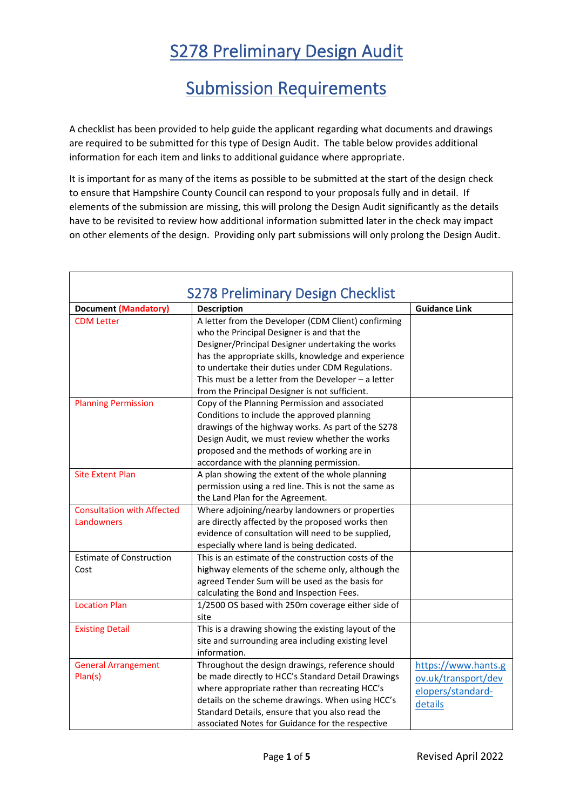## S278 Preliminary Design Audit

## Submission Requirements

A checklist has been provided to help guide the applicant regarding what documents and drawings are required to be submitted for this type of Design Audit. The table below provides additional information for each item and links to additional guidance where appropriate.

It is important for as many of the items as possible to be submitted at the start of the design check to ensure that Hampshire County Council can respond to your proposals fully and in detail. If elements of the submission are missing, this will prolong the Design Audit significantly as the details have to be revisited to review how additional information submitted later in the check may impact on other elements of the design. Providing only part submissions will only prolong the Design Audit.

| <b>S278 Preliminary Design Checklist</b> |                                                                                                                                                                                                                                                                                                                                                                               |                                                                            |  |
|------------------------------------------|-------------------------------------------------------------------------------------------------------------------------------------------------------------------------------------------------------------------------------------------------------------------------------------------------------------------------------------------------------------------------------|----------------------------------------------------------------------------|--|
| <b>Document (Mandatory)</b>              | <b>Description</b>                                                                                                                                                                                                                                                                                                                                                            | <b>Guidance Link</b>                                                       |  |
| <b>CDM Letter</b>                        | A letter from the Developer (CDM Client) confirming<br>who the Principal Designer is and that the<br>Designer/Principal Designer undertaking the works<br>has the appropriate skills, knowledge and experience<br>to undertake their duties under CDM Regulations.<br>This must be a letter from the Developer $-$ a letter<br>from the Principal Designer is not sufficient. |                                                                            |  |
| <b>Planning Permission</b>               | Copy of the Planning Permission and associated<br>Conditions to include the approved planning<br>drawings of the highway works. As part of the S278<br>Design Audit, we must review whether the works<br>proposed and the methods of working are in<br>accordance with the planning permission.                                                                               |                                                                            |  |
| <b>Site Extent Plan</b>                  | A plan showing the extent of the whole planning<br>permission using a red line. This is not the same as<br>the Land Plan for the Agreement.                                                                                                                                                                                                                                   |                                                                            |  |
| <b>Consultation with Affected</b>        | Where adjoining/nearby landowners or properties                                                                                                                                                                                                                                                                                                                               |                                                                            |  |
| Landowners                               | are directly affected by the proposed works then<br>evidence of consultation will need to be supplied,<br>especially where land is being dedicated.                                                                                                                                                                                                                           |                                                                            |  |
| <b>Estimate of Construction</b>          | This is an estimate of the construction costs of the                                                                                                                                                                                                                                                                                                                          |                                                                            |  |
| Cost                                     | highway elements of the scheme only, although the<br>agreed Tender Sum will be used as the basis for<br>calculating the Bond and Inspection Fees.                                                                                                                                                                                                                             |                                                                            |  |
| <b>Location Plan</b>                     | 1/2500 OS based with 250m coverage either side of<br>site                                                                                                                                                                                                                                                                                                                     |                                                                            |  |
| <b>Existing Detail</b>                   | This is a drawing showing the existing layout of the<br>site and surrounding area including existing level<br>information.                                                                                                                                                                                                                                                    |                                                                            |  |
| <b>General Arrangement</b><br>Plan(s)    | Throughout the design drawings, reference should<br>be made directly to HCC's Standard Detail Drawings<br>where appropriate rather than recreating HCC's<br>details on the scheme drawings. When using HCC's<br>Standard Details, ensure that you also read the<br>associated Notes for Guidance for the respective                                                           | https://www.hants.g<br>ov.uk/transport/dev<br>elopers/standard-<br>details |  |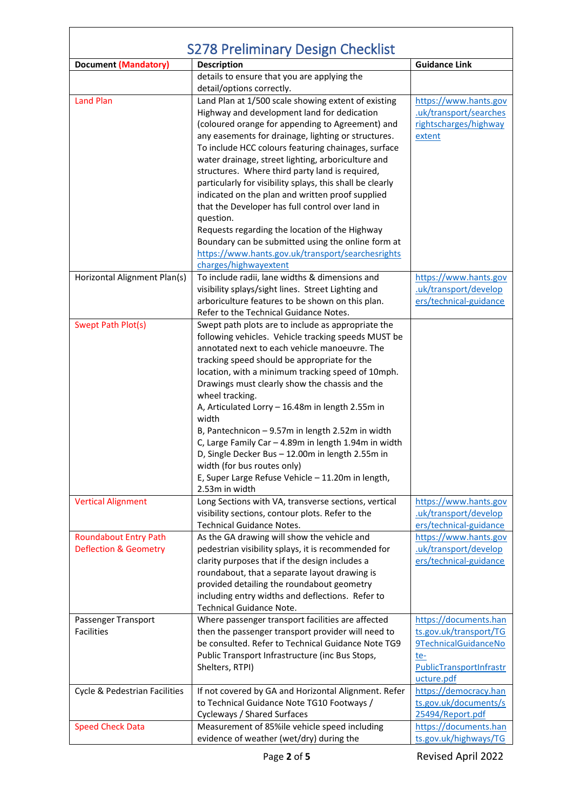| <b>S278 Preliminary Design Checklist</b> |                                                                                                         |                                                 |  |
|------------------------------------------|---------------------------------------------------------------------------------------------------------|-------------------------------------------------|--|
| <b>Document (Mandatory)</b>              | <b>Description</b>                                                                                      | <b>Guidance Link</b>                            |  |
|                                          | details to ensure that you are applying the                                                             |                                                 |  |
|                                          | detail/options correctly.                                                                               |                                                 |  |
| <b>Land Plan</b>                         | Land Plan at 1/500 scale showing extent of existing<br>Highway and development land for dedication      | https://www.hants.gov<br>.uk/transport/searches |  |
|                                          | (coloured orange for appending to Agreement) and                                                        | rightscharges/highway                           |  |
|                                          | any easements for drainage, lighting or structures.                                                     | extent                                          |  |
|                                          | To include HCC colours featuring chainages, surface                                                     |                                                 |  |
|                                          | water drainage, street lighting, arboriculture and                                                      |                                                 |  |
|                                          | structures. Where third party land is required,                                                         |                                                 |  |
|                                          | particularly for visibility splays, this shall be clearly                                               |                                                 |  |
|                                          | indicated on the plan and written proof supplied                                                        |                                                 |  |
|                                          | that the Developer has full control over land in                                                        |                                                 |  |
|                                          | question.                                                                                               |                                                 |  |
|                                          | Requests regarding the location of the Highway                                                          |                                                 |  |
|                                          | Boundary can be submitted using the online form at<br>https://www.hants.gov.uk/transport/searchesrights |                                                 |  |
|                                          | charges/highwayextent                                                                                   |                                                 |  |
| Horizontal Alignment Plan(s)             | To include radii, lane widths & dimensions and                                                          | https://www.hants.gov                           |  |
|                                          | visibility splays/sight lines. Street Lighting and                                                      | .uk/transport/develop                           |  |
|                                          | arboriculture features to be shown on this plan.                                                        | ers/technical-guidance                          |  |
|                                          | Refer to the Technical Guidance Notes.                                                                  |                                                 |  |
| <b>Swept Path Plot(s)</b>                | Swept path plots are to include as appropriate the                                                      |                                                 |  |
|                                          | following vehicles. Vehicle tracking speeds MUST be                                                     |                                                 |  |
|                                          | annotated next to each vehicle manoeuvre. The                                                           |                                                 |  |
|                                          | tracking speed should be appropriate for the                                                            |                                                 |  |
|                                          | location, with a minimum tracking speed of 10mph.                                                       |                                                 |  |
|                                          | Drawings must clearly show the chassis and the                                                          |                                                 |  |
|                                          | wheel tracking.<br>A, Articulated Lorry - 16.48m in length 2.55m in                                     |                                                 |  |
|                                          | width                                                                                                   |                                                 |  |
|                                          | B, Pantechnicon - 9.57m in length 2.52m in width                                                        |                                                 |  |
|                                          | C, Large Family Car - 4.89m in length 1.94m in width                                                    |                                                 |  |
|                                          | D, Single Decker Bus - 12.00m in length 2.55m in                                                        |                                                 |  |
|                                          | width (for bus routes only)                                                                             |                                                 |  |
|                                          | E, Super Large Refuse Vehicle - 11.20m in length,                                                       |                                                 |  |
|                                          | 2.53m in width                                                                                          |                                                 |  |
| <b>Vertical Alignment</b>                | Long Sections with VA, transverse sections, vertical                                                    | https://www.hants.gov                           |  |
|                                          | visibility sections, contour plots. Refer to the                                                        | .uk/transport/develop                           |  |
| <b>Roundabout Entry Path</b>             | <b>Technical Guidance Notes.</b><br>As the GA drawing will show the vehicle and                         | ers/technical-guidance<br>https://www.hants.gov |  |
| <b>Deflection &amp; Geometry</b>         | pedestrian visibility splays, it is recommended for                                                     | .uk/transport/develop                           |  |
|                                          | clarity purposes that if the design includes a                                                          | ers/technical-guidance                          |  |
|                                          | roundabout, that a separate layout drawing is                                                           |                                                 |  |
|                                          | provided detailing the roundabout geometry                                                              |                                                 |  |
|                                          | including entry widths and deflections. Refer to                                                        |                                                 |  |
|                                          | <b>Technical Guidance Note.</b>                                                                         |                                                 |  |
| Passenger Transport                      | Where passenger transport facilities are affected                                                       | https://documents.han                           |  |
| <b>Facilities</b>                        | then the passenger transport provider will need to                                                      | ts.gov.uk/transport/TG                          |  |
|                                          | be consulted. Refer to Technical Guidance Note TG9                                                      | 9TechnicalGuidanceNo                            |  |
|                                          | Public Transport Infrastructure (inc Bus Stops,                                                         | te-                                             |  |
|                                          | Shelters, RTPI)                                                                                         | PublicTransportInfrastr                         |  |
| Cycle & Pedestrian Facilities            | If not covered by GA and Horizontal Alignment. Refer                                                    | ucture.pdf<br>https://democracy.han             |  |
|                                          | to Technical Guidance Note TG10 Footways /                                                              | ts.gov.uk/documents/s                           |  |
|                                          | Cycleways / Shared Surfaces                                                                             | 25494/Report.pdf                                |  |
| <b>Speed Check Data</b>                  | Measurement of 85%ile vehicle speed including                                                           | https://documents.han                           |  |
|                                          | evidence of weather (wet/dry) during the                                                                | ts.gov.uk/highways/TG                           |  |

 $\overline{\phantom{0}}$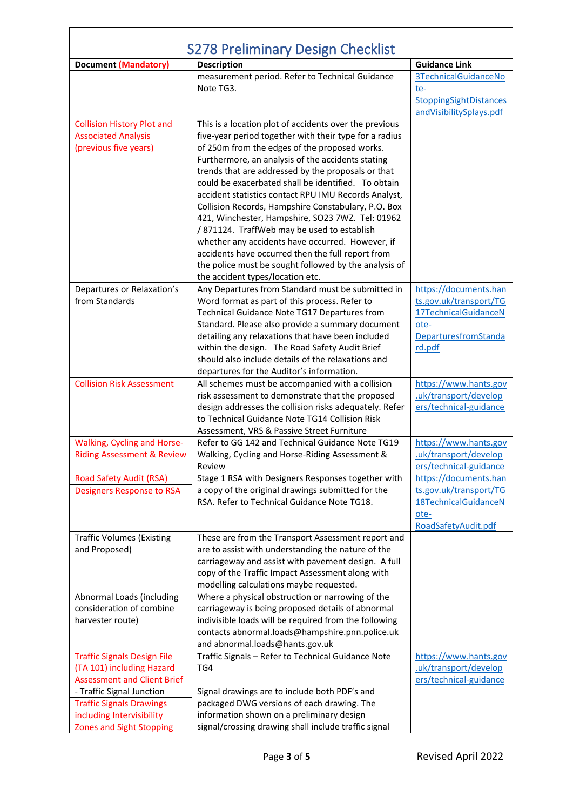| S278 Preliminary Design Checklist                               |                                                                                                           |                                                 |  |
|-----------------------------------------------------------------|-----------------------------------------------------------------------------------------------------------|-------------------------------------------------|--|
| <b>Document (Mandatory)</b>                                     | <b>Description</b>                                                                                        | <b>Guidance Link</b>                            |  |
|                                                                 | measurement period. Refer to Technical Guidance                                                           | 3TechnicalGuidanceNo                            |  |
|                                                                 | Note TG3.                                                                                                 | te-                                             |  |
|                                                                 |                                                                                                           | <b>StoppingSightDistances</b>                   |  |
|                                                                 |                                                                                                           | andVisibilitySplays.pdf                         |  |
| <b>Collision History Plot and</b>                               | This is a location plot of accidents over the previous                                                    |                                                 |  |
| <b>Associated Analysis</b>                                      | five-year period together with their type for a radius                                                    |                                                 |  |
| (previous five years)                                           | of 250m from the edges of the proposed works.                                                             |                                                 |  |
|                                                                 | Furthermore, an analysis of the accidents stating                                                         |                                                 |  |
|                                                                 | trends that are addressed by the proposals or that<br>could be exacerbated shall be identified. To obtain |                                                 |  |
|                                                                 | accident statistics contact RPU IMU Records Analyst,                                                      |                                                 |  |
|                                                                 | Collision Records, Hampshire Constabulary, P.O. Box                                                       |                                                 |  |
|                                                                 | 421, Winchester, Hampshire, SO23 7WZ. Tel: 01962                                                          |                                                 |  |
|                                                                 | /871124. TraffWeb may be used to establish                                                                |                                                 |  |
|                                                                 | whether any accidents have occurred. However, if                                                          |                                                 |  |
|                                                                 | accidents have occurred then the full report from                                                         |                                                 |  |
|                                                                 | the police must be sought followed by the analysis of                                                     |                                                 |  |
|                                                                 | the accident types/location etc.                                                                          |                                                 |  |
| Departures or Relaxation's                                      | Any Departures from Standard must be submitted in                                                         | https://documents.han                           |  |
| from Standards                                                  | Word format as part of this process. Refer to                                                             | ts.gov.uk/transport/TG                          |  |
|                                                                 | Technical Guidance Note TG17 Departures from                                                              | 17TechnicalGuidanceN                            |  |
|                                                                 | Standard. Please also provide a summary document                                                          | ote-                                            |  |
|                                                                 | detailing any relaxations that have been included                                                         | DeparturesfromStanda                            |  |
|                                                                 | within the design. The Road Safety Audit Brief<br>should also include details of the relaxations and      | rd.pdf                                          |  |
|                                                                 | departures for the Auditor's information.                                                                 |                                                 |  |
| <b>Collision Risk Assessment</b>                                | All schemes must be accompanied with a collision                                                          | https://www.hants.gov                           |  |
|                                                                 | risk assessment to demonstrate that the proposed                                                          | uk/transport/develop                            |  |
|                                                                 | design addresses the collision risks adequately. Refer                                                    | ers/technical-guidance                          |  |
|                                                                 | to Technical Guidance Note TG14 Collision Risk                                                            |                                                 |  |
|                                                                 | Assessment, VRS & Passive Street Furniture                                                                |                                                 |  |
| <b>Walking, Cycling and Horse-</b>                              | Refer to GG 142 and Technical Guidance Note TG19                                                          | https://www.hants.gov                           |  |
| <b>Riding Assessment &amp; Review</b>                           | Walking, Cycling and Horse-Riding Assessment &                                                            | uk/transport/develop                            |  |
|                                                                 | Review                                                                                                    | ers/technical-guidance                          |  |
| <b>Road Safety Audit (RSA)</b>                                  | Stage 1 RSA with Designers Responses together with                                                        | https://documents.han                           |  |
| <b>Designers Response to RSA</b>                                | a copy of the original drawings submitted for the                                                         | ts.gov.uk/transport/TG                          |  |
|                                                                 | RSA. Refer to Technical Guidance Note TG18.                                                               | 18TechnicalGuidanceN                            |  |
|                                                                 |                                                                                                           | ote-<br>RoadSafetyAudit.pdf                     |  |
| <b>Traffic Volumes (Existing</b>                                | These are from the Transport Assessment report and                                                        |                                                 |  |
| and Proposed)                                                   | are to assist with understanding the nature of the                                                        |                                                 |  |
|                                                                 | carriageway and assist with pavement design. A full                                                       |                                                 |  |
|                                                                 | copy of the Traffic Impact Assessment along with                                                          |                                                 |  |
|                                                                 | modelling calculations maybe requested.                                                                   |                                                 |  |
| Abnormal Loads (including                                       | Where a physical obstruction or narrowing of the                                                          |                                                 |  |
| consideration of combine                                        | carriageway is being proposed details of abnormal                                                         |                                                 |  |
| harvester route)                                                | indivisible loads will be required from the following                                                     |                                                 |  |
|                                                                 | contacts abnormal.loads@hampshire.pnn.police.uk                                                           |                                                 |  |
|                                                                 | and abnormal.loads@hants.gov.uk                                                                           |                                                 |  |
| <b>Traffic Signals Design File</b>                              | Traffic Signals - Refer to Technical Guidance Note                                                        | https://www.hants.gov                           |  |
| (TA 101) including Hazard<br><b>Assessment and Client Brief</b> | TG4                                                                                                       | .uk/transport/develop<br>ers/technical-guidance |  |
| - Traffic Signal Junction                                       | Signal drawings are to include both PDF's and                                                             |                                                 |  |
| <b>Traffic Signals Drawings</b>                                 | packaged DWG versions of each drawing. The                                                                |                                                 |  |
| including Intervisibility                                       | information shown on a preliminary design                                                                 |                                                 |  |
| <b>Zones and Sight Stopping</b>                                 | signal/crossing drawing shall include traffic signal                                                      |                                                 |  |

 $\overline{\phantom{0}}$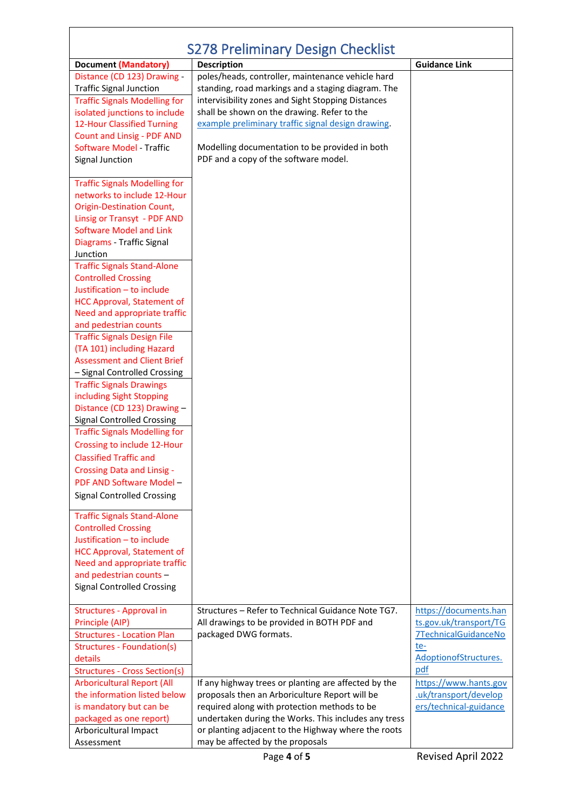| <b>S278 Preliminary Design Checklist</b>                                                                                                                                                                                                                 |                                                                                                                                                                                                                                                                                                                                                               |                                                                                                                       |  |
|----------------------------------------------------------------------------------------------------------------------------------------------------------------------------------------------------------------------------------------------------------|---------------------------------------------------------------------------------------------------------------------------------------------------------------------------------------------------------------------------------------------------------------------------------------------------------------------------------------------------------------|-----------------------------------------------------------------------------------------------------------------------|--|
| <b>Document (Mandatory)</b>                                                                                                                                                                                                                              | <b>Description</b>                                                                                                                                                                                                                                                                                                                                            | <b>Guidance Link</b>                                                                                                  |  |
| Distance (CD 123) Drawing -<br><b>Traffic Signal Junction</b><br><b>Traffic Signals Modelling for</b><br>isolated junctions to include<br>12-Hour Classified Turning<br>Count and Linsig - PDF AND<br><b>Software Model - Traffic</b><br>Signal Junction | poles/heads, controller, maintenance vehicle hard<br>standing, road markings and a staging diagram. The<br>intervisibility zones and Sight Stopping Distances<br>shall be shown on the drawing. Refer to the<br>example preliminary traffic signal design drawing.<br>Modelling documentation to be provided in both<br>PDF and a copy of the software model. |                                                                                                                       |  |
| <b>Traffic Signals Modelling for</b><br>networks to include 12-Hour<br><b>Origin-Destination Count,</b><br>Linsig or Transyt - PDF AND<br><b>Software Model and Link</b><br>Diagrams - Traffic Signal<br>Junction<br><b>Traffic Signals Stand-Alone</b>  |                                                                                                                                                                                                                                                                                                                                                               |                                                                                                                       |  |
| <b>Controlled Crossing</b><br>Justification - to include<br><b>HCC Approval, Statement of</b><br>Need and appropriate traffic<br>and pedestrian counts<br><b>Traffic Signals Design File</b>                                                             |                                                                                                                                                                                                                                                                                                                                                               |                                                                                                                       |  |
| (TA 101) including Hazard<br><b>Assessment and Client Brief</b><br>- Signal Controlled Crossing<br><b>Traffic Signals Drawings</b><br>including Sight Stopping<br>Distance (CD 123) Drawing -                                                            |                                                                                                                                                                                                                                                                                                                                                               |                                                                                                                       |  |
| <b>Signal Controlled Crossing</b><br><b>Traffic Signals Modelling for</b><br>Crossing to include 12-Hour<br><b>Classified Traffic and</b><br><b>Crossing Data and Linsig -</b><br>PDF AND Software Model -                                               |                                                                                                                                                                                                                                                                                                                                                               |                                                                                                                       |  |
| <b>Signal Controlled Crossing</b><br><b>Traffic Signals Stand-Alone</b><br><b>Controlled Crossing</b><br>Justification - to include<br><b>HCC Approval, Statement of</b><br>Need and appropriate traffic                                                 |                                                                                                                                                                                                                                                                                                                                                               |                                                                                                                       |  |
| and pedestrian counts -<br><b>Signal Controlled Crossing</b>                                                                                                                                                                                             |                                                                                                                                                                                                                                                                                                                                                               |                                                                                                                       |  |
| Structures - Approval in<br>Principle (AIP)<br><b>Structures - Location Plan</b><br>Structures - Foundation(s)<br>details<br><b>Structures - Cross Section(s)</b>                                                                                        | Structures - Refer to Technical Guidance Note TG7.<br>All drawings to be provided in BOTH PDF and<br>packaged DWG formats.                                                                                                                                                                                                                                    | https://documents.han<br>ts.gov.uk/transport/TG<br><b>7TechnicalGuidanceNo</b><br>te-<br>AdoptionofStructures.<br>pdf |  |
| <b>Arboricultural Report (All</b><br>the information listed below<br>is mandatory but can be<br>packaged as one report)<br>Arboricultural Impact<br>Assessment                                                                                           | If any highway trees or planting are affected by the<br>proposals then an Arboriculture Report will be<br>required along with protection methods to be<br>undertaken during the Works. This includes any tress<br>or planting adjacent to the Highway where the roots<br>may be affected by the proposals                                                     | https://www.hants.gov<br>.uk/transport/develop<br>ers/technical-guidance                                              |  |